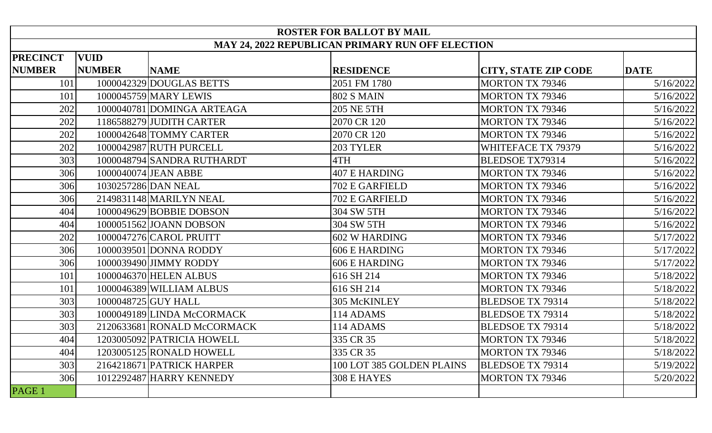| <b>ROSTER FOR BALLOT BY MAIL</b>                        |               |                             |                           |                             |             |  |  |  |
|---------------------------------------------------------|---------------|-----------------------------|---------------------------|-----------------------------|-------------|--|--|--|
| <b>MAY 24, 2022 REPUBLICAN PRIMARY RUN OFF ELECTION</b> |               |                             |                           |                             |             |  |  |  |
| <b>PRECINCT</b>                                         | <b>VUID</b>   |                             |                           |                             |             |  |  |  |
| <b>NUMBER</b>                                           | <b>NUMBER</b> | <b>NAME</b>                 | <b>RESIDENCE</b>          | <b>CITY, STATE ZIP CODE</b> | <b>DATE</b> |  |  |  |
| 101                                                     |               | 1000042329 DOUGLAS BETTS    | 2051 FM 1780              | <b>MORTON TX 79346</b>      | 5/16/2022   |  |  |  |
| 101                                                     |               | 1000045759 MARY LEWIS       | <b>802 S MAIN</b>         | <b>MORTON TX 79346</b>      | 5/16/2022   |  |  |  |
| 202                                                     |               | 1000040781 DOMINGA ARTEAGA  | <b>205 NE 5TH</b>         | <b>MORTON TX 79346</b>      | 5/16/2022   |  |  |  |
| 202                                                     |               | 1186588279 JUDITH CARTER    | 2070 CR 120               | <b>MORTON TX 79346</b>      | 5/16/2022   |  |  |  |
| 202                                                     |               | 1000042648 TOMMY CARTER     | 2070 CR 120               | <b>MORTON TX 79346</b>      | 5/16/2022   |  |  |  |
| 202                                                     |               | 1000042987 RUTH PURCELL     | 203 TYLER                 | WHITEFACE TX 79379          | 5/16/2022   |  |  |  |
| 303                                                     |               | 1000048794 SANDRA RUTHARDT  | 4TH                       | <b>BLEDSOE TX79314</b>      | 5/16/2022   |  |  |  |
| 306                                                     |               | 1000040074 JEAN ABBE        | <b>407 E HARDING</b>      | <b>MORTON TX 79346</b>      | 5/16/2022   |  |  |  |
| 306                                                     |               | 1030257286 DAN NEAL         | 702 E GARFIELD            | <b>MORTON TX 79346</b>      | 5/16/2022   |  |  |  |
| 306                                                     |               | 2149831148 MARILYN NEAL     | 702 E GARFIELD            | <b>MORTON TX 79346</b>      | 5/16/2022   |  |  |  |
| 404                                                     |               | 1000049629 BOBBIE DOBSON    | 304 SW 5TH                | <b>MORTON TX 79346</b>      | 5/16/2022   |  |  |  |
| 404                                                     |               | 1000051562 JOANN DOBSON     | 304 SW 5TH                | <b>MORTON TX 79346</b>      | 5/16/2022   |  |  |  |
| 202                                                     |               | 1000047276 CAROL PRUITT     | 602 W HARDING             | <b>MORTON TX 79346</b>      | 5/17/2022   |  |  |  |
| 306                                                     |               | 1000039501 DONNA RODDY      | <b>606 E HARDING</b>      | <b>MORTON TX 79346</b>      | 5/17/2022   |  |  |  |
| 306                                                     |               | 1000039490 JIMMY RODDY      | <b>606 E HARDING</b>      | <b>MORTON TX 79346</b>      | 5/17/2022   |  |  |  |
| 101                                                     |               | 1000046370 HELEN ALBUS      | 616 SH 214                | <b>MORTON TX 79346</b>      | 5/18/2022   |  |  |  |
| 101                                                     |               | 1000046389 WILLIAM ALBUS    | 616 SH 214                | <b>MORTON TX 79346</b>      | 5/18/2022   |  |  |  |
| 303                                                     |               | 1000048725 GUY HALL         | 305 McKINLEY              | <b>BLEDSOE TX 79314</b>     | 5/18/2022   |  |  |  |
| 303                                                     |               | 1000049189 LINDA McCORMACK  | 114 ADAMS                 | <b>BLEDSOE TX 79314</b>     | 5/18/2022   |  |  |  |
| 303                                                     |               | 2120633681 RONALD McCORMACK | 114 ADAMS                 | <b>BLEDSOE TX 79314</b>     | 5/18/2022   |  |  |  |
| 404                                                     |               | 1203005092 PATRICIA HOWELL  | 335 CR 35                 | <b>MORTON TX 79346</b>      | 5/18/2022   |  |  |  |
| 404                                                     |               | 1203005125 RONALD HOWELL    | 335 CR 35                 | <b>MORTON TX 79346</b>      | 5/18/2022   |  |  |  |
| 303                                                     |               | 2164218671 PATRICK HARPER   | 100 LOT 385 GOLDEN PLAINS | <b>BLEDSOE TX 79314</b>     | 5/19/2022   |  |  |  |
| 306                                                     |               | 1012292487 HARRY KENNEDY    | 308 E HAYES               | <b>MORTON TX 79346</b>      | 5/20/2022   |  |  |  |
| PAGE 1                                                  |               |                             |                           |                             |             |  |  |  |